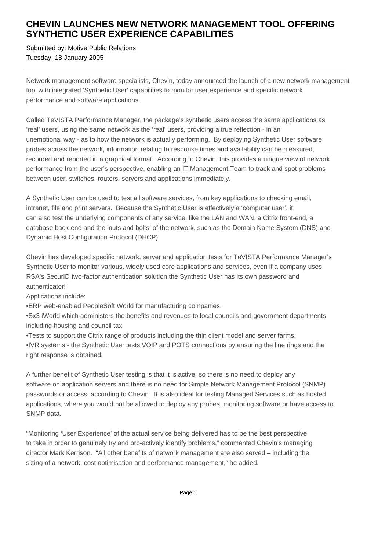## **CHEVIN LAUNCHES NEW NETWORK MANAGEMENT TOOL OFFERING SYNTHETIC USER EXPERIENCE CAPABILITIES**

Submitted by: Motive Public Relations Tuesday, 18 January 2005

Network management software specialists, Chevin, today announced the launch of a new network management tool with integrated 'Synthetic User' capabilities to monitor user experience and specific network performance and software applications.

Called TeVISTA Performance Manager, the package's synthetic users access the same applications as 'real' users, using the same network as the 'real' users, providing a true reflection - in an unemotional way - as to how the network is actually performing. By deploying Synthetic User software probes across the network, information relating to response times and availability can be measured, recorded and reported in a graphical format. According to Chevin, this provides a unique view of network performance from the user's perspective, enabling an IT Management Team to track and spot problems between user, switches, routers, servers and applications immediately.

A Synthetic User can be used to test all software services, from key applications to checking email, intranet, file and print servers. Because the Synthetic User is effectively a 'computer user', it can also test the underlying components of any service, like the LAN and WAN, a Citrix front-end, a database back-end and the 'nuts and bolts' of the network, such as the Domain Name System (DNS) and Dynamic Host Configuration Protocol (DHCP).

Chevin has developed specific network, server and application tests for TeVISTA Performance Manager's Synthetic User to monitor various, widely used core applications and services, even if a company uses RSA's SecurID two-factor authentication solution the Synthetic User has its own password and authenticator!

Applications include:

• ERP web-enabled PeopleSoft World for manufacturing companies.

• Sx3 iWorld which administers the benefits and revenues to local councils and government departments including housing and council tax.

• Tests to support the Citrix range of products including the thin client model and server farms.

• IVR systems - the Synthetic User tests VOIP and POTS connections by ensuring the line rings and the right response is obtained.

A further benefit of Synthetic User testing is that it is active, so there is no need to deploy any software on application servers and there is no need for Simple Network Management Protocol (SNMP) passwords or access, according to Chevin. It is also ideal for testing Managed Services such as hosted applications, where you would not be allowed to deploy any probes, monitoring software or have access to SNMP data.

"Monitoring 'User Experience' of the actual service being delivered has to be the best perspective to take in order to genuinely try and pro-actively identify problems," commented Chevin's managing director Mark Kerrison. "All other benefits of network management are also served – including the sizing of a network, cost optimisation and performance management," he added.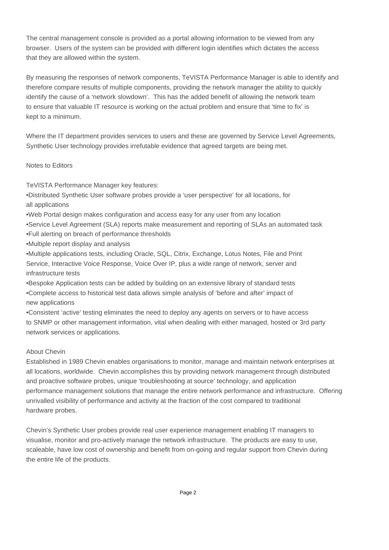The central management console is provided as a portal allowing information to be viewed from any browser. Users of the system can be provided with different login identifies which dictates the access that they are allowed within the system.

By measuring the responses of network components, TeVISTA Performance Manager is able to identify and therefore compare results of multiple components, providing the network manager the ability to quickly identify the cause of a 'network slowdown'. This has the added benefit of allowing the network team to ensure that valuable IT resource is working on the actual problem and ensure that 'time to fix' is kept to a minimum.

Where the IT department provides services to users and these are governed by Service Level Agreements, Synthetic User technology provides irrefutable evidence that agreed targets are being met.

## Notes to Editors

TeVISTA Performance Manager key features:

- • Distributed Synthetic User software probes provide a 'user perspective' for all locations, for all applications
- • Web Portal design makes configuration and access easy for any user from any location
- Service Level Agreement (SLA) reports make measurement and reporting of SLAs an automated task
- Full alerting on breach of performance thresholds
- • Multiple report display and analysis
- • Multiple applications tests, including Oracle, SQL, Citrix, Exchange, Lotus Notes, File and Print Service, Interactive Voice Response, Voice Over IP, plus a wide range of network, server and infrastructure tests
- • Bespoke Application tests can be added by building on an extensive library of standard tests
- • Complete access to historical test data allows simple analysis of 'before and after' impact of new applications

• Consistent 'active' testing eliminates the need to deploy any agents on servers or to have access to SNMP or other management information, vital when dealing with either managed, hosted or 3rd party network services or applications.

## About Chevin

Established in 1989 Chevin enables organisations to monitor, manage and maintain network enterprises at all locations, worldwide. Chevin accomplishes this by providing network management through distributed and proactive software probes, unique 'troubleshooting at source' technology, and application performance management solutions that manage the entire network performance and infrastructure. Offering unrivalled visibility of performance and activity at the fraction of the cost compared to traditional hardware probes.

Chevin's Synthetic User probes provide real user experience management enabling IT managers to visualise, monitor and pro-actively manage the network infrastructure. The products are easy to use, scaleable, have low cost of ownership and benefit from on-going and regular support from Chevin during the entire life of the products.